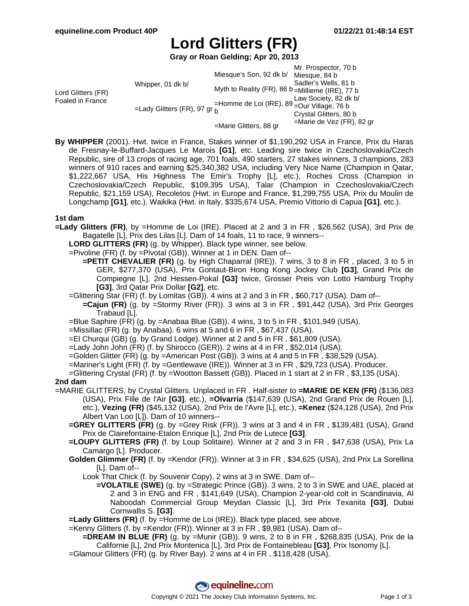# **Lord Glitters (FR)**

**Gray or Roan Gelding; Apr 20, 2013**

|  |                        | Mr. Prospector, 70 b                                                                                                                                                           |
|--|------------------------|--------------------------------------------------------------------------------------------------------------------------------------------------------------------------------|
|  |                        |                                                                                                                                                                                |
|  |                        | Sadler's Wells, 81 b                                                                                                                                                           |
|  |                        |                                                                                                                                                                                |
|  |                        | Law Society, 82 dk b/                                                                                                                                                          |
|  |                        |                                                                                                                                                                                |
|  |                        | Crystal Glitters, 80 b                                                                                                                                                         |
|  | =Marie Glitters, 88 gr | $=$ Marie de Vez (FR), 82 gr                                                                                                                                                   |
|  | Whipper, 01 dk b/      | Miesque's Son, 92 dk b/ Miesque, 84 b<br>Myth to Reality (FR), 86 b = Millieme (IRE), 77 b<br>=Homme de Loi (IRE), $89 -$ Our Village, 76 b<br>=Lady Glitters (FR), 97 gr $_h$ |

**By WHIPPER** (2001). Hwt. twice in France, Stakes winner of \$1,190,292 USA in France, Prix du Haras de Fresnay-le-Buffard-Jacques Le Marois **[G1]**, etc. Leading sire twice in Czechoslovakia/Czech Republic, sire of 13 crops of racing age, 701 foals, 490 starters, 27 stakes winners, 3 champions, 283 winners of 910 races and earning \$25,340,382 USA, including Very Nice Name (Champion in Qatar, \$1,222,667 USA, His Highness The Emir's Trophy [L], etc.), Roches Cross (Champion in Czechoslovakia/Czech Republic, \$109,395 USA), Talar (Champion in Czechoslovakia/Czech Republic, \$21,159 USA), Recoletos (Hwt. in Europe and France, \$1,299,755 USA, Prix du Moulin de Longchamp **[G1]**, etc.), Waikika (Hwt. in Italy, \$335,674 USA, Premio Vittorio di Capua **[G1]**, etc.).

### **1st dam**

**=Lady Glitters (FR)**, by =Homme de Loi (IRE). Placed at 2 and 3 in FR , \$26,562 (USA), 3rd Prix de Bagatelle [L], Prix des Lilas [L]. Dam of 14 foals, 11 to race, 9 winners--

**LORD GLITTERS (FR)** (g. by Whipper). Black type winner, see below.

=Pivoline (FR) (f. by =Pivotal (GB)). Winner at 1 in DEN. Dam of--

**=PETIT CHEVALIER (FR)** (g. by High Chaparral (IRE)). 7 wins, 3 to 8 in FR , placed, 3 to 5 in GER, \$277,370 (USA), Prix Gontaut-Biron Hong Kong Jockey Club **[G3]**, Grand Prix de Compiegne [L], 2nd Hessen-Pokal **[G3]** twice, Grosser Preis von Lotto Hamburg Trophy **[G3]**, 3rd Qatar Prix Dollar **[G2]**, etc.

- =Glittering Star (FR) (f. by Lomitas (GB)). 4 wins at 2 and 3 in FR , \$60,717 (USA). Dam of--
	- **=Cajun (FR)** (g. by =Stormy River (FR)). 3 wins at 3 in FR , \$91,442 (USA), 3rd Prix Georges Trabaud [L].
- =Blue Saphire (FR) (g. by =Anabaa Blue (GB)). 4 wins, 3 to 5 in FR , \$101,949 (USA).

 $=$ Missillac (FR) (g. by Anabaa). 6 wins at 5 and 6 in FR, \$67,437 (USA).

=El Churqui (GB) (g. by Grand Lodge). Winner at 2 and 5 in FR , \$61,809 (USA).

=Lady John John (FR) (f. by Shirocco (GER)). 2 wins at 4 in FR , \$52,014 (USA).

=Golden Glitter (FR) (g. by =American Post (GB)). 3 wins at 4 and 5 in FR , \$38,529 (USA).

- =Mariner's Light (FR) (f. by =Gentlewave (IRE)). Winner at 3 in FR , \$29,723 (USA). Producer.
- =Glittering Crystal (FR) (f. by =Wootton Bassett (GB)). Placed in 1 start at 2 in FR , \$3,135 (USA).

#### **2nd dam**

- =MARIE GLITTERS, by Crystal Glitters. Unplaced in FR . Half-sister to **=MARIE DE KEN (FR)** (\$136,083 (USA), Prix Fille de l'Air **[G3]**, etc.), **=Olvarria** (\$147,639 (USA), 2nd Grand Prix de Rouen [L], etc.), **Vezing (FR)** (\$45,132 (USA), 2nd Prix de l'Avre [L], etc.), **=Kenez** (\$24,128 (USA), 2nd Prix Albert Van Loo [L]). Dam of 10 winners--
	- **=GREY GLITTERS (FR)** (g. by =Grey Risk (FR)). 3 wins at 3 and 4 in FR , \$139,481 (USA), Grand Prix de Clairefontaine-Etalon Enrique [L], 2nd Prix de Lutece **[G3]**.
	- **=LOUPY GLITTERS (FR)** (f. by Loup Solitaire). Winner at 2 and 3 in FR , \$47,638 (USA), Prix La Camargo [L]. Producer.
	- **Golden Glimmer (FR)** (f. by =Kendor (FR)). Winner at 3 in FR , \$34,625 (USA), 2nd Prix La Sorellina [L]. Dam of--
		- Look That Chick (f. by Souvenir Copy). 2 wins at 3 in SWE. Dam of--
			- **=VOLATILE (SWE)** (g. by =Strategic Prince (GB)). 3 wins, 2 to 3 in SWE and UAE, placed at 2 and 3 in ENG and FR , \$141,649 (USA), Champion 2-year-old colt in Scandinavia, Al Naboodah Commercial Group Meydan Classic [L], 3rd Prix Texanita **[G3]**, Dubai Cornwallis S. **[G3]**.

**=Lady Glitters (FR)** (f. by =Homme de Loi (IRE)). Black type placed, see above.

=Kenny Glitters (f. by =Kendor (FR)). Winner at 3 in FR , \$9,981 (USA). Dam of--

**=DREAM IN BLUE (FR)** (g. by =Munir (GB)). 9 wins, 2 to 8 in FR , \$268,835 (USA), Prix de la Californie [L], 2nd Prix Montenica [L], 3rd Prix de Fontainebleau **[G3]**, Prix Isonomy [L].

=Glamour Glitters (FR) (g. by River Bay). 2 wins at 4 in FR , \$118,428 (USA).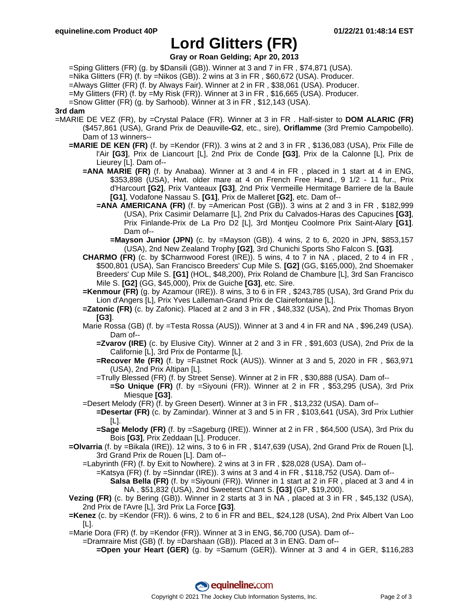## **Lord Glitters (FR)**

**Gray or Roan Gelding; Apr 20, 2013**

=Sping Glitters (FR) (g. by \$Dansili (GB)). Winner at 3 and 7 in FR , \$74,871 (USA).

=Nika Glitters (FR) (f. by =Nikos (GB)). 2 wins at 3 in FR , \$60,672 (USA). Producer.

=Always Glitter (FR) (f. by Always Fair). Winner at 2 in FR , \$38,061 (USA). Producer.

=My Glitters (FR) (f. by =My Risk (FR)). Winner at 3 in FR , \$16,665 (USA). Producer.

=Snow Glitter (FR) (g. by Sarhoob). Winner at 3 in FR , \$12,143 (USA).

### **3rd dam**

- =MARIE DE VEZ (FR), by =Crystal Palace (FR). Winner at 3 in FR . Half-sister to **DOM ALARIC (FR)** (\$457,861 (USA), Grand Prix de Deauville**-G2**, etc., sire), **Oriflamme** (3rd Premio Campobello). Dam of 13 winners--
	- **=MARIE DE KEN (FR)** (f. by =Kendor (FR)). 3 wins at 2 and 3 in FR , \$136,083 (USA), Prix Fille de l'Air **[G3]**, Prix de Liancourt [L], 2nd Prix de Conde **[G3]**, Prix de la Calonne [L], Prix de Lieurey [L]. Dam of--
		- **=ANA MARIE (FR)** (f. by Anabaa). Winner at 3 and 4 in FR , placed in 1 start at 4 in ENG, \$353,898 (USA), Hwt. older mare at 4 on French Free Hand., 9 1/2 - 11 fur., Prix d'Harcourt **[G2]**, Prix Vanteaux **[G3]**, 2nd Prix Vermeille Hermitage Barriere de la Baule **[G1]**, Vodafone Nassau S. **[G1]**, Prix de Malleret **[G2]**, etc. Dam of--
			- **=ANA AMERICANA (FR)** (f. by =American Post (GB)). 3 wins at 2 and 3 in FR , \$182,999 (USA), Prix Casimir Delamarre [L], 2nd Prix du Calvados-Haras des Capucines **[G3]**, Prix Finlande-Prix de La Pro D2 [L], 3rd Montjeu Coolmore Prix Saint-Alary **[G1]**. Dam of--
				- **=Mayson Junior (JPN)** (c. by =Mayson (GB)). 4 wins, 2 to 6, 2020 in JPN, \$853,157 (USA), 2nd New Zealand Trophy **[G2]**, 3rd Chunichi Sports Sho Falcon S. **[G3]**.
		- **CHARMO (FR)** (c. by \$Charnwood Forest (IRE)). 5 wins, 4 to 7 in NA , placed, 2 to 4 in FR , \$500,801 (USA), San Francisco Breeders' Cup Mile S. **[G2]** (GG, \$165,000), 2nd Shoemaker Breeders' Cup Mile S. **[G1]** (HOL, \$48,200), Prix Roland de Chambure [L], 3rd San Francisco Mile S. **[G2]** (GG, \$45,000), Prix de Guiche **[G3]**, etc. Sire.
		- **=Kenmour (FR)** (g. by Azamour (IRE)). 8 wins, 3 to 6 in FR , \$243,785 (USA), 3rd Grand Prix du Lion d'Angers [L], Prix Yves Lalleman-Grand Prix de Clairefontaine [L].
		- **=Zatonic (FR)** (c. by Zafonic). Placed at 2 and 3 in FR , \$48,332 (USA), 2nd Prix Thomas Bryon **[G3]**.
		- Marie Rossa (GB) (f. by =Testa Rossa (AUS)). Winner at 3 and 4 in FR and NA , \$96,249 (USA). Dam of--
			- **=Zvarov (IRE)** (c. by Elusive City). Winner at 2 and 3 in FR , \$91,603 (USA), 2nd Prix de la Californie [L], 3rd Prix de Pontarme [L].
			- **=Recover Me (FR)** (f. by =Fastnet Rock (AUS)). Winner at 3 and 5, 2020 in FR , \$63,971 (USA), 2nd Prix Altipan [L].

=Trully Blessed (FR) (f. by Street Sense). Winner at 2 in FR , \$30,888 (USA). Dam of--

- **=So Unique (FR)** (f. by =Siyouni (FR)). Winner at 2 in FR , \$53,295 (USA), 3rd Prix Miesque **[G3]**.
- =Desert Melody (FR) (f. by Green Desert). Winner at 3 in FR , \$13,232 (USA). Dam of--
	- **=Desertar (FR)** (c. by Zamindar). Winner at 3 and 5 in FR , \$103,641 (USA), 3rd Prix Luthier [L].
	- **=Sage Melody (FR)** (f. by =Sageburg (IRE)). Winner at 2 in FR , \$64,500 (USA), 3rd Prix du Bois **[G3]**, Prix Zeddaan [L]. Producer.
- **=Olvarria** (f. by =Bikala (IRE)). 12 wins, 3 to 6 in FR , \$147,639 (USA), 2nd Grand Prix de Rouen [L], 3rd Grand Prix de Rouen [L]. Dam of--
	- =Labyrinth (FR) (f. by Exit to Nowhere). 2 wins at 3 in FR , \$28,028 (USA). Dam of--
		- =Katsya (FR) (f. by =Sinndar (IRE)). 3 wins at 3 and 4 in FR , \$118,752 (USA). Dam of--
			- **Salsa Bella (FR)** (f. by =Siyouni (FR)). Winner in 1 start at 2 in FR, placed at 3 and 4 in NA , \$51,832 (USA), 2nd Sweetest Chant S. **[G3]** (GP, \$19,200).
- **Vezing (FR)** (c. by Bering (GB)). Winner in 2 starts at 3 in NA , placed at 3 in FR , \$45,132 (USA), 2nd Prix de l'Avre [L], 3rd Prix La Force **[G3]**.
- **=Kenez** (c. by =Kendor (FR)). 6 wins, 2 to 6 in FR and BEL, \$24,128 (USA), 2nd Prix Albert Van Loo [L].
- =Marie Dora (FR) (f. by =Kendor (FR)). Winner at 3 in ENG, \$6,700 (USA). Dam of--
	- =Dramraire Mist (GB) (f. by =Darshaan (GB)). Placed at 3 in ENG. Dam of--
		- **=Open your Heart (GER)** (g. by =Samum (GER)). Winner at 3 and 4 in GER, \$116,283